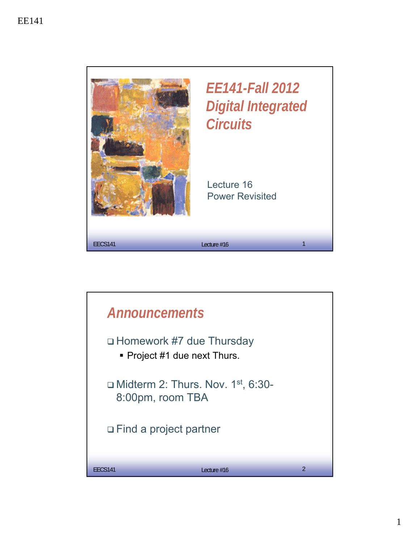

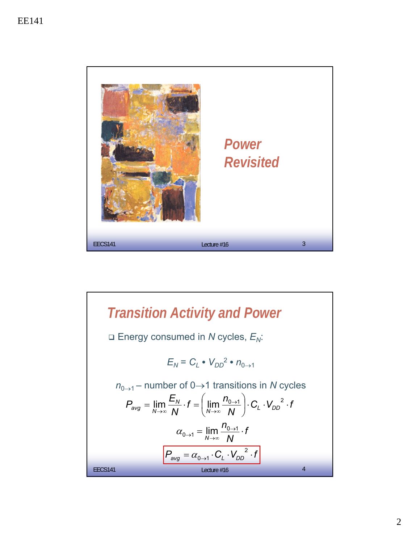

**Translation Activity and Power**  
\n
$$
\Box
$$
 Energy consumed in *N* cycles,  $E_N$ :  
\n
$$
E_N = C_L \cdot V_{DD}^2 \cdot n_{0 \to 1}
$$
\n
$$
n_{0 \to 1} - \text{number of } 0 \to 1 \text{ transitions in } N \text{ cycles}
$$
\n
$$
P_{avg} = \lim_{N \to \infty} \frac{E_N}{N} \cdot f = \left(\lim_{N \to \infty} \frac{n_{0 \to 1}}{N}\right) \cdot C_L \cdot V_{DD}^2 \cdot f
$$
\n
$$
\alpha_{0 \to 1} = \lim_{N \to \infty} \frac{n_{0 \to 1}}{N} \cdot f
$$
\n
$$
P_{avg} = \alpha_{0 \to 1} \cdot C_L \cdot V_{DD}^2 \cdot f
$$
\n
$$
P_{e \text{total}} = \alpha_{0 \to 1} \cdot C_L \cdot V_{DD}^2 \cdot f
$$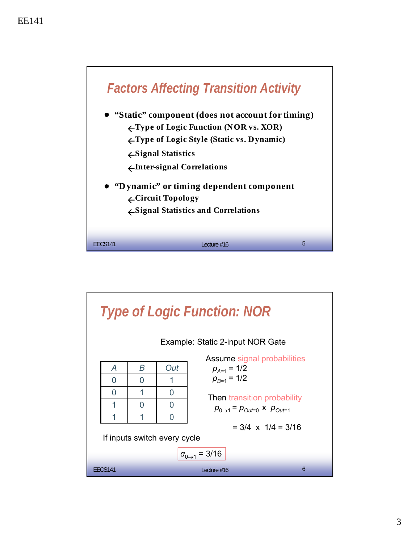![](_page_2_Figure_1.jpeg)

![](_page_2_Figure_2.jpeg)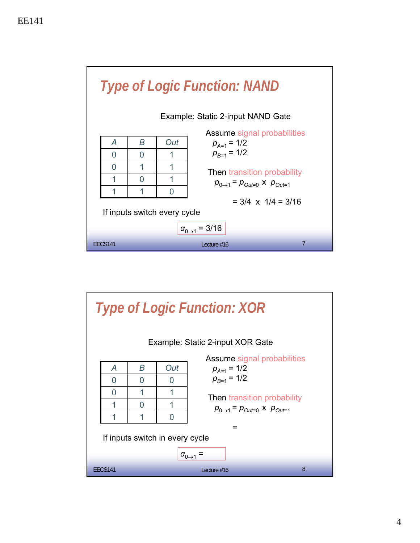![](_page_3_Figure_1.jpeg)

![](_page_3_Figure_2.jpeg)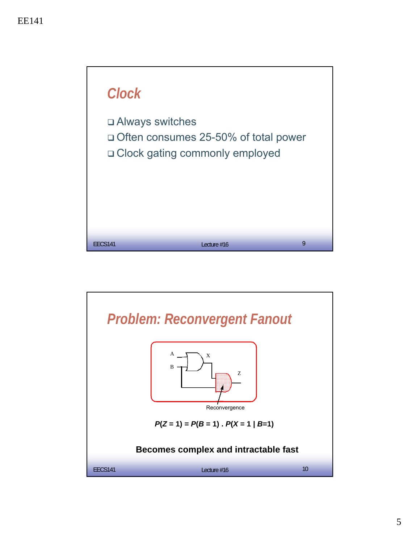![](_page_4_Figure_1.jpeg)

![](_page_4_Figure_2.jpeg)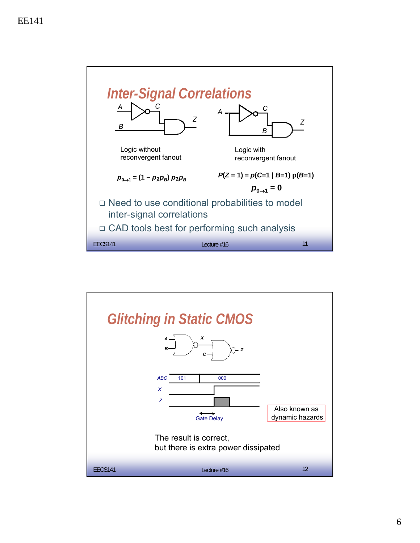![](_page_5_Figure_1.jpeg)

![](_page_5_Figure_2.jpeg)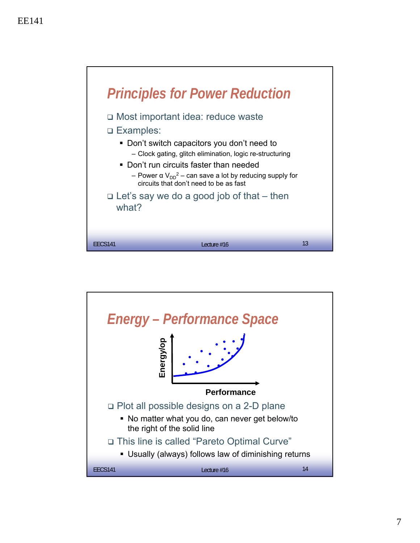![](_page_6_Figure_1.jpeg)

![](_page_6_Figure_2.jpeg)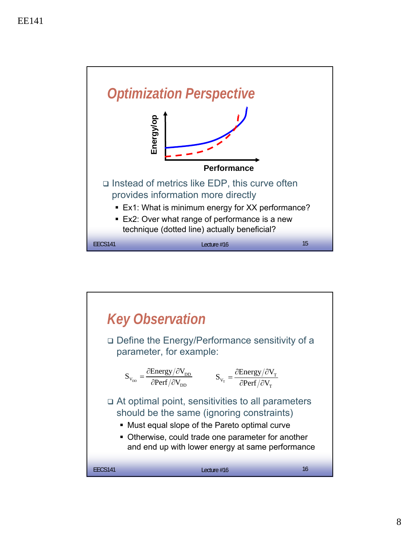![](_page_7_Figure_1.jpeg)

![](_page_7_Figure_2.jpeg)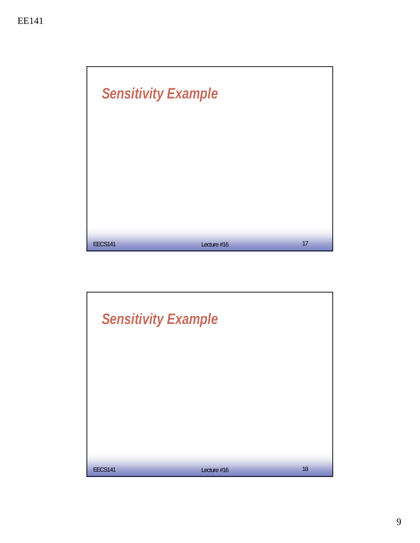![](_page_8_Picture_1.jpeg)

![](_page_8_Picture_2.jpeg)